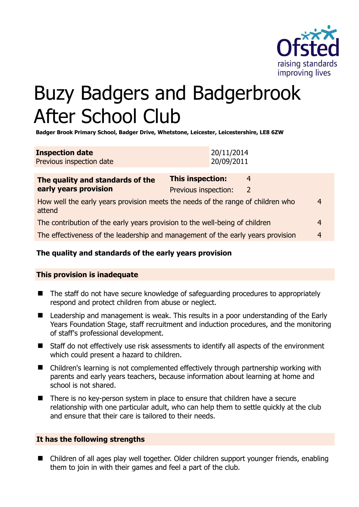

# Buzy Badgers and Badgerbrook After School Club

**Badger Brook Primary School, Badger Drive, Whetstone, Leicester, Leicestershire, LE8 6ZW** 

| <b>Inspection date</b>   | 20/11/2014 |
|--------------------------|------------|
| Previous inspection date | 20/09/2011 |

| The quality and standards of the<br>early years provision                                      | <b>This inspection:</b> | 4 |   |
|------------------------------------------------------------------------------------------------|-------------------------|---|---|
|                                                                                                | Previous inspection:    | 2 |   |
| How well the early years provision meets the needs of the range of children who<br>4<br>attend |                         |   |   |
| The contribution of the early years provision to the well-being of children                    |                         |   | 4 |
| The effectiveness of the leadership and management of the early years provision                |                         |   | 4 |

# **The quality and standards of the early years provision**

#### **This provision is inadequate**

- The staff do not have secure knowledge of safeguarding procedures to appropriately respond and protect children from abuse or neglect.
- Leadership and management is weak. This results in a poor understanding of the Early Years Foundation Stage, staff recruitment and induction procedures, and the monitoring of staff's professional development.
- Staff do not effectively use risk assessments to identify all aspects of the environment which could present a hazard to children.
- Children's learning is not complemented effectively through partnership working with parents and early years teachers, because information about learning at home and school is not shared.
- There is no key-person system in place to ensure that children have a secure relationship with one particular adult, who can help them to settle quickly at the club and ensure that their care is tailored to their needs.

# **It has the following strengths**

■ Children of all ages play well together. Older children support younger friends, enabling them to join in with their games and feel a part of the club.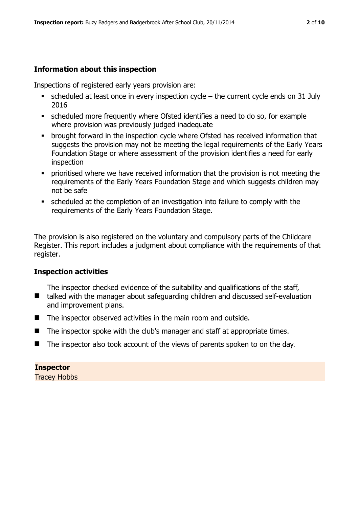# **Information about this inspection**

Inspections of registered early years provision are:

- $\bullet$  scheduled at least once in every inspection cycle the current cycle ends on 31 July 2016
- scheduled more frequently where Ofsted identifies a need to do so, for example where provision was previously judged inadequate
- **•** brought forward in the inspection cycle where Ofsted has received information that suggests the provision may not be meeting the legal requirements of the Early Years Foundation Stage or where assessment of the provision identifies a need for early inspection
- **•** prioritised where we have received information that the provision is not meeting the requirements of the Early Years Foundation Stage and which suggests children may not be safe
- scheduled at the completion of an investigation into failure to comply with the requirements of the Early Years Foundation Stage.

The provision is also registered on the voluntary and compulsory parts of the Childcare Register. This report includes a judgment about compliance with the requirements of that register.

#### **Inspection activities**

■ talked with the manager about safeguarding children and discussed self-evaluation The inspector checked evidence of the suitability and qualifications of the staff, and improvement plans.

- The inspector observed activities in the main room and outside.
- $\blacksquare$  The inspector spoke with the club's manager and staff at appropriate times.
- The inspector also took account of the views of parents spoken to on the day.

#### **Inspector**

Tracey Hobbs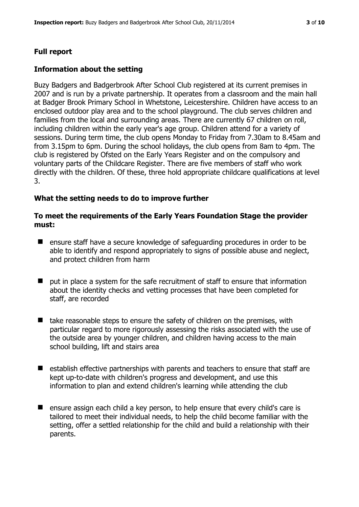# **Full report**

# **Information about the setting**

Buzy Badgers and Badgerbrook After School Club registered at its current premises in 2007 and is run by a private partnership. It operates from a classroom and the main hall at Badger Brook Primary School in Whetstone, Leicestershire. Children have access to an enclosed outdoor play area and to the school playground. The club serves children and families from the local and surrounding areas. There are currently 67 children on roll, including children within the early year's age group. Children attend for a variety of sessions. During term time, the club opens Monday to Friday from 7.30am to 8.45am and from 3.15pm to 6pm. During the school holidays, the club opens from 8am to 4pm. The club is registered by Ofsted on the Early Years Register and on the compulsory and voluntary parts of the Childcare Register. There are five members of staff who work directly with the children. Of these, three hold appropriate childcare qualifications at level 3.

# **What the setting needs to do to improve further**

## **To meet the requirements of the Early Years Foundation Stage the provider must:**

- ensure staff have a secure knowledge of safeguarding procedures in order to be able to identify and respond appropriately to signs of possible abuse and neglect, and protect children from harm
- $\blacksquare$  put in place a system for the safe recruitment of staff to ensure that information about the identity checks and vetting processes that have been completed for staff, are recorded
- $\blacksquare$  take reasonable steps to ensure the safety of children on the premises, with particular regard to more rigorously assessing the risks associated with the use of the outside area by younger children, and children having access to the main school building, lift and stairs area
- $\blacksquare$  establish effective partnerships with parents and teachers to ensure that staff are kept up-to-date with children's progress and development, and use this information to plan and extend children's learning while attending the club
- ensure assign each child a key person, to help ensure that every child's care is tailored to meet their individual needs, to help the child become familiar with the setting, offer a settled relationship for the child and build a relationship with their parents.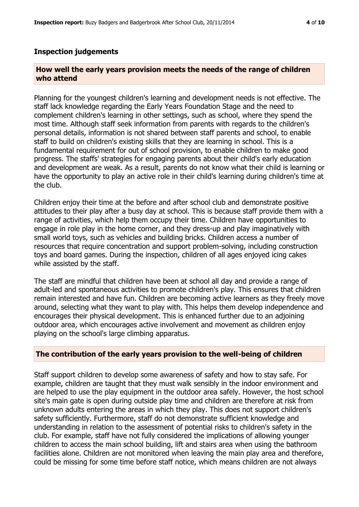#### **Inspection judgements**

#### **How well the early years provision meets the needs of the range of children who attend**

Planning for the youngest children's learning and development needs is not effective. The staff lack knowledge regarding the Early Years Foundation Stage and the need to complement children's learning in other settings, such as school, where they spend the most time. Although staff seek information from parents with regards to the children's personal details, information is not shared between staff parents and school, to enable staff to build on children's existing skills that they are learning in school. This is a fundamental requirement for out of school provision, to enable children to make good progress. The staffs' strategies for engaging parents about their child's early education and development are weak. As a result, parents do not know what their child is learning or have the opportunity to play an active role in their child's learning during children's time at the club.

Children enjoy their time at the before and after school club and demonstrate positive attitudes to their play after a busy day at school. This is because staff provide them with a range of activities, which help them occupy their time. Children have opportunities to engage in role play in the home corner, and they dress-up and play imaginatively with small world toys, such as vehicles and building bricks. Children access a number of resources that require concentration and support problem-solving, including construction toys and board games. During the inspection, children of all ages enjoyed icing cakes while assisted by the staff.

The staff are mindful that children have been at school all day and provide a range of adult-led and spontaneous activities to promote children's play. This ensures that children remain interested and have fun. Children are becoming active learners as they freely move around, selecting what they want to play with. This helps them develop independence and encourages their physical development. This is enhanced further due to an adjoining outdoor area, which encourages active involvement and movement as children enjoy playing on the school's large climbing apparatus.

#### **The contribution of the early years provision to the well-being of children**

Staff support children to develop some awareness of safety and how to stay safe. For example, children are taught that they must walk sensibly in the indoor environment and are helped to use the play equipment in the outdoor area safely. However, the host school site's main gate is open during outside play time and children are therefore at risk from unknown adults entering the areas in which they play. This does not support children's safety sufficiently. Furthermore, staff do not demonstrate sufficient knowledge and understanding in relation to the assessment of potential risks to children's safety in the club. For example, staff have not fully considered the implications of allowing younger children to access the main school building, lift and stairs area when using the bathroom facilities alone. Children are not monitored when leaving the main play area and therefore, could be missing for some time before staff notice, which means children are not always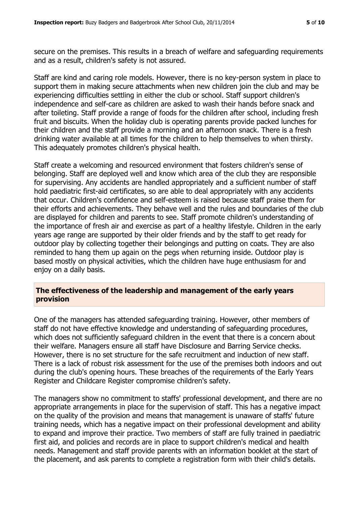secure on the premises. This results in a breach of welfare and safeguarding requirements and as a result, children's safety is not assured.

Staff are kind and caring role models. However, there is no key-person system in place to support them in making secure attachments when new children join the club and may be experiencing difficulties settling in either the club or school. Staff support children's independence and self-care as children are asked to wash their hands before snack and after toileting. Staff provide a range of foods for the children after school, including fresh fruit and biscuits. When the holiday club is operating parents provide packed lunches for their children and the staff provide a morning and an afternoon snack. There is a fresh drinking water available at all times for the children to help themselves to when thirsty. This adequately promotes children's physical health.

Staff create a welcoming and resourced environment that fosters children's sense of belonging. Staff are deployed well and know which area of the club they are responsible for supervising. Any accidents are handled appropriately and a sufficient number of staff hold paediatric first-aid certificates, so are able to deal appropriately with any accidents that occur. Children's confidence and self-esteem is raised because staff praise them for their efforts and achievements. They behave well and the rules and boundaries of the club are displayed for children and parents to see. Staff promote children's understanding of the importance of fresh air and exercise as part of a healthy lifestyle. Children in the early years age range are supported by their older friends and by the staff to get ready for outdoor play by collecting together their belongings and putting on coats. They are also reminded to hang them up again on the pegs when returning inside. Outdoor play is based mostly on physical activities, which the children have huge enthusiasm for and enjoy on a daily basis.

## **The effectiveness of the leadership and management of the early years provision**

One of the managers has attended safeguarding training. However, other members of staff do not have effective knowledge and understanding of safeguarding procedures, which does not sufficiently safeguard children in the event that there is a concern about their welfare. Managers ensure all staff have Disclosure and Barring Service checks. However, there is no set structure for the safe recruitment and induction of new staff. There is a lack of robust risk assessment for the use of the premises both indoors and out during the club's opening hours. These breaches of the requirements of the Early Years Register and Childcare Register compromise children's safety.

The managers show no commitment to staffs' professional development, and there are no appropriate arrangements in place for the supervision of staff. This has a negative impact on the quality of the provision and means that management is unaware of staffs' future training needs, which has a negative impact on their professional development and ability to expand and improve their practice. Two members of staff are fully trained in paediatric first aid, and policies and records are in place to support children's medical and health needs. Management and staff provide parents with an information booklet at the start of the placement, and ask parents to complete a registration form with their child's details.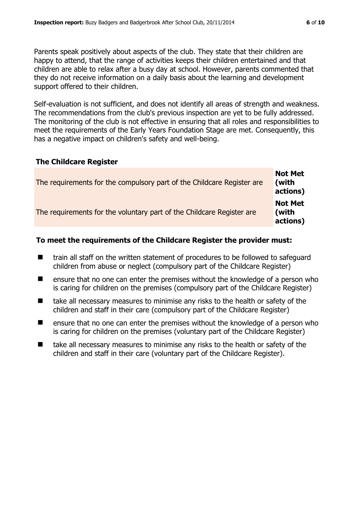Parents speak positively about aspects of the club. They state that their children are happy to attend, that the range of activities keeps their children entertained and that children are able to relax after a busy day at school. However, parents commented that they do not receive information on a daily basis about the learning and development support offered to their children.

Self-evaluation is not sufficient, and does not identify all areas of strength and weakness. The recommendations from the club's previous inspection are yet to be fully addressed. The monitoring of the club is not effective in ensuring that all roles and responsibilities to meet the requirements of the Early Years Foundation Stage are met. Consequently, this has a negative impact on children's safety and well-being.

#### **The Childcare Register**

| The requirements for the compulsory part of the Childcare Register are | <b>Not Met</b><br>(with<br>actions) |
|------------------------------------------------------------------------|-------------------------------------|
| The requirements for the voluntary part of the Childcare Register are  | <b>Not Met</b><br>(with<br>actions) |

#### **To meet the requirements of the Childcare Register the provider must:**

- train all staff on the written statement of procedures to be followed to safeguard children from abuse or neglect (compulsory part of the Childcare Register)
- $\blacksquare$  ensure that no one can enter the premises without the knowledge of a person who is caring for children on the premises (compulsory part of the Childcare Register)
- take all necessary measures to minimise any risks to the health or safety of the children and staff in their care (compulsory part of the Childcare Register)
- ensure that no one can enter the premises without the knowledge of a person who is caring for children on the premises (voluntary part of the Childcare Register)
- take all necessary measures to minimise any risks to the health or safety of the children and staff in their care (voluntary part of the Childcare Register).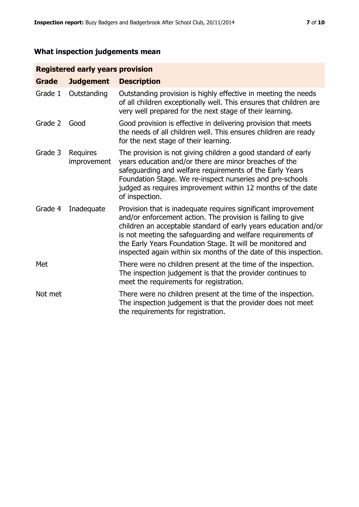# **What inspection judgements mean**

# **Registered early years provision**

| <b>Grade</b> | <b>Judgement</b>               | <b>Description</b>                                                                                                                                                                                                                                                                                                                                                                                |
|--------------|--------------------------------|---------------------------------------------------------------------------------------------------------------------------------------------------------------------------------------------------------------------------------------------------------------------------------------------------------------------------------------------------------------------------------------------------|
| Grade 1      | Outstanding                    | Outstanding provision is highly effective in meeting the needs<br>of all children exceptionally well. This ensures that children are<br>very well prepared for the next stage of their learning.                                                                                                                                                                                                  |
| Grade 2      | Good                           | Good provision is effective in delivering provision that meets<br>the needs of all children well. This ensures children are ready<br>for the next stage of their learning.                                                                                                                                                                                                                        |
| Grade 3      | <b>Requires</b><br>improvement | The provision is not giving children a good standard of early<br>years education and/or there are minor breaches of the<br>safeguarding and welfare requirements of the Early Years<br>Foundation Stage. We re-inspect nurseries and pre-schools<br>judged as requires improvement within 12 months of the date<br>of inspection.                                                                 |
| Grade 4      | Inadequate                     | Provision that is inadequate requires significant improvement<br>and/or enforcement action. The provision is failing to give<br>children an acceptable standard of early years education and/or<br>is not meeting the safeguarding and welfare requirements of<br>the Early Years Foundation Stage. It will be monitored and<br>inspected again within six months of the date of this inspection. |
| Met          |                                | There were no children present at the time of the inspection.<br>The inspection judgement is that the provider continues to<br>meet the requirements for registration.                                                                                                                                                                                                                            |
| Not met      |                                | There were no children present at the time of the inspection.<br>The inspection judgement is that the provider does not meet<br>the requirements for registration.                                                                                                                                                                                                                                |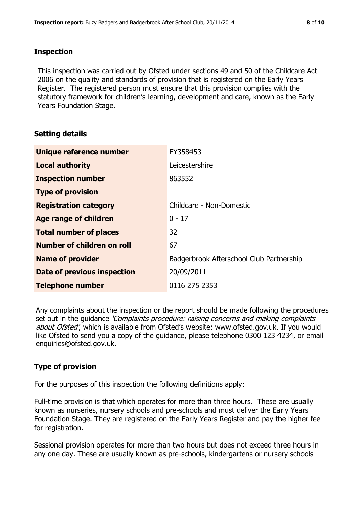## **Inspection**

This inspection was carried out by Ofsted under sections 49 and 50 of the Childcare Act 2006 on the quality and standards of provision that is registered on the Early Years Register. The registered person must ensure that this provision complies with the statutory framework for children's learning, development and care, known as the Early Years Foundation Stage.

# **Setting details**

| Unique reference number            | EY358453                                 |
|------------------------------------|------------------------------------------|
| <b>Local authority</b>             | Leicestershire                           |
| <b>Inspection number</b>           | 863552                                   |
| <b>Type of provision</b>           |                                          |
| <b>Registration category</b>       | Childcare - Non-Domestic                 |
| Age range of children              | $0 - 17$                                 |
| <b>Total number of places</b>      | 32                                       |
| Number of children on roll         | 67                                       |
| <b>Name of provider</b>            | Badgerbrook Afterschool Club Partnership |
| <b>Date of previous inspection</b> | 20/09/2011                               |
| <b>Telephone number</b>            | 0116 275 2353                            |

Any complaints about the inspection or the report should be made following the procedures set out in the guidance *'Complaints procedure: raising concerns and making complaints* about Ofsted', which is available from Ofsted's website: www.ofsted.gov.uk. If you would like Ofsted to send you a copy of the guidance, please telephone 0300 123 4234, or email enquiries@ofsted.gov.uk.

# **Type of provision**

For the purposes of this inspection the following definitions apply:

Full-time provision is that which operates for more than three hours. These are usually known as nurseries, nursery schools and pre-schools and must deliver the Early Years Foundation Stage. They are registered on the Early Years Register and pay the higher fee for registration.

Sessional provision operates for more than two hours but does not exceed three hours in any one day. These are usually known as pre-schools, kindergartens or nursery schools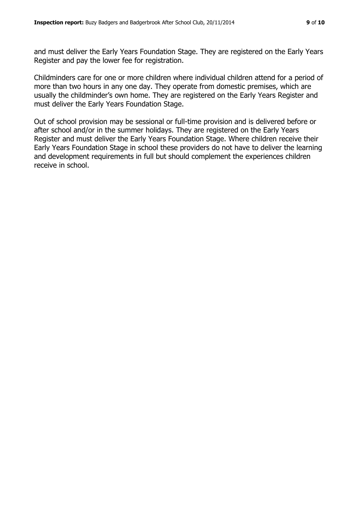and must deliver the Early Years Foundation Stage. They are registered on the Early Years Register and pay the lower fee for registration.

Childminders care for one or more children where individual children attend for a period of more than two hours in any one day. They operate from domestic premises, which are usually the childminder's own home. They are registered on the Early Years Register and must deliver the Early Years Foundation Stage.

Out of school provision may be sessional or full-time provision and is delivered before or after school and/or in the summer holidays. They are registered on the Early Years Register and must deliver the Early Years Foundation Stage. Where children receive their Early Years Foundation Stage in school these providers do not have to deliver the learning and development requirements in full but should complement the experiences children receive in school.